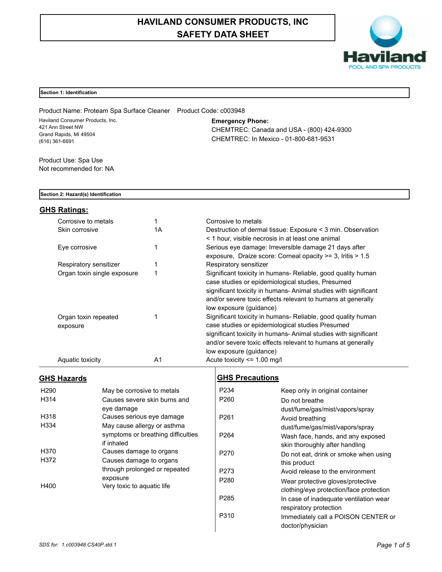# **HAVILAND CONSUMER PRODUCTS, INC SAFETY DATA SHEET**



# **Section 1: Identification**

Product Name: Proteam Spa Surface Cleaner Product Code: c003948 Haviland Consumer Products, Inc. 421 Ann Street NW Grand Rapids, MI 49504 (616) 361-6691

**Emergency Phone:** CHEMTREC: Canada and USA - (800) 424-9300 CHEMTREC: In Mexico - 01-800-681-9531

Product Use: Spa Use Not recommended for: NA

# **Section 2: Hazard(s) Identification**

# **GHS Ratings:**

| Corrosive to metals              |    | Corrosive to metals                                                                                                                                                                                                                                                           |
|----------------------------------|----|-------------------------------------------------------------------------------------------------------------------------------------------------------------------------------------------------------------------------------------------------------------------------------|
| Skin corrosive                   | 1Α | Destruction of dermal tissue: Exposure < 3 min. Observation<br>< 1 hour, visible necrosis in at least one animal                                                                                                                                                              |
| Eye corrosive                    |    | Serious eye damage: Irreversible damage 21 days after<br>exposure, Draize score: Corneal opacity >= 3, Iritis > 1.5                                                                                                                                                           |
| Respiratory sensitizer           |    | Respiratory sensitizer                                                                                                                                                                                                                                                        |
| Organ toxin single exposure      | 1  | Significant toxicity in humans- Reliable, good quality human<br>case studies or epidemiological studies, Presumed<br>significant toxicity in humans-Animal studies with significant<br>and/or severe toxic effects relevant to humans at generally<br>low exposure (guidance) |
| Organ toxin repeated<br>exposure |    | Significant toxicity in humans- Reliable, good quality human<br>case studies or epidemiological studies Presumed<br>significant toxicity in humans-Animal studies with significant<br>and/or severe toxic effects relevant to humans at generally<br>low exposure (guidance)  |
| Aquatic toxicity                 | A1 | Acute toxicity $\leq$ 1.00 mg/l                                                                                                                                                                                                                                               |

# **GHS Hazards**

| H <sub>290</sub> | May be corrosive to metals                                                      |
|------------------|---------------------------------------------------------------------------------|
| H314             | Causes severe skin burns and<br>eve damage                                      |
| H318             | Causes serious eye damage                                                       |
| H334             | May cause allergy or asthma<br>symptoms or breathing difficulties<br>if inhaled |
| H370             | Causes damage to organs                                                         |
| H372             | Causes damage to organs<br>through prolonged or repeated<br>exposure            |
| H400             | Very toxic to aquatic life                                                      |

# **GHS Precautions**

| P234             | Keep only in original container         |
|------------------|-----------------------------------------|
| P260             | Do not breathe                          |
|                  | dust/fume/gas/mist/vapors/spray         |
| P <sub>261</sub> | Avoid breathing                         |
|                  | dust/fume/gas/mist/vapors/spray         |
| P264             | Wash face, hands, and any exposed       |
|                  | skin thoroughly after handling          |
| P270             | Do not eat, drink or smoke when using   |
|                  | this product                            |
| P273             | Avoid release to the environment        |
| P280             | Wear protective gloves/protective       |
|                  | clothing/eye protection/face protection |
| P <sub>285</sub> | In case of inadequate ventilation wear  |
|                  | respiratory protection                  |
| P310             | Immediately call a POISON CENTER or     |
|                  | doctor/physician                        |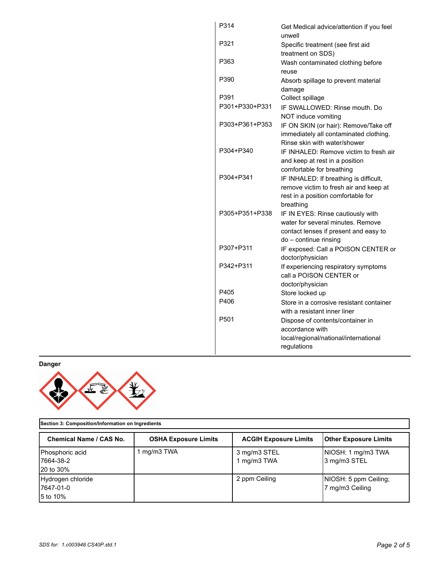| P314             | Get Medical advice/attention if you feel<br>unwell                     |
|------------------|------------------------------------------------------------------------|
| P321             | Specific treatment (see first aid<br>treatment on SDS)                 |
| P363             | Wash contaminated clothing before<br>reuse                             |
| P390             | Absorb spillage to prevent material                                    |
| P391             | damage<br>Collect spillage                                             |
| P301+P330+P331   | IF SWALLOWED: Rinse mouth, Do                                          |
|                  | NOT induce vomiting                                                    |
| P303+P361+P353   | IF ON SKIN (or hair): Remove/Take off                                  |
|                  | immediately all contaminated clothing.                                 |
|                  | Rinse skin with water/shower                                           |
| P304+P340        | IF INHALED: Remove victim to fresh air                                 |
|                  | and keep at rest in a position                                         |
|                  | comfortable for breathing                                              |
| P304+P341        | IF INHALED: If breathing is difficult,                                 |
|                  | remove victim to fresh air and keep at                                 |
|                  | rest in a position comfortable for                                     |
| P305+P351+P338   | breathing                                                              |
|                  | IF IN EYES: Rinse cautiously with<br>water for several minutes. Remove |
|                  | contact lenses if present and easy to                                  |
|                  | do - continue rinsing                                                  |
| P307+P311        | IF exposed: Call a POISON CENTER or                                    |
|                  | doctor/physician                                                       |
| P342+P311        | If experiencing respiratory symptoms                                   |
|                  | call a POISON CENTER or                                                |
|                  | doctor/physician                                                       |
| P405             | Store locked up                                                        |
| P406             | Store in a corrosive resistant container                               |
|                  | with a resistant inner liner                                           |
| P <sub>501</sub> | Dispose of contents/container in                                       |
|                  | accordance with                                                        |
|                  | local/regional/national/international                                  |
|                  | regulations                                                            |

**Danger**



**Section 3: Composition/Information on Ingredients**

| <b>Chemical Name / CAS No.</b>                    | <b>OSHA Exposure Limits</b> | <b>ACGIH Exposure Limits</b> | <b>Other Exposure Limits</b>              |
|---------------------------------------------------|-----------------------------|------------------------------|-------------------------------------------|
| Phosphoric acid<br>17664-38-2<br><b>20 to 30%</b> | mg/m3 TWA                   | 3 mg/m3 STEL<br>1 mg/m3 TWA  | NIOSH: 1 mg/m3 TWA<br>3 mg/m3 STEL        |
| Hydrogen chloride<br>7647-01-0<br>5 to 10%        |                             | 2 ppm Ceiling                | INIOSH: 5 ppm Ceiling;<br>7 mg/m3 Ceiling |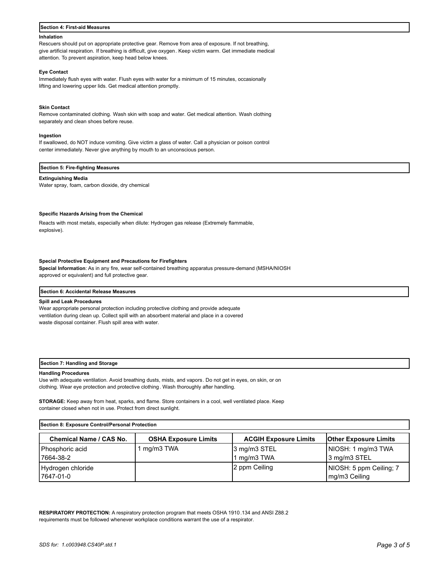## **Section 4: First-aid Measures**

#### **Inhalation**

Rescuers should put on appropriate protective gear. Remove from area of exposure. If not breathing, give artificial respiration. If breathing is difficult, give oxygen. Keep victim warm. Get immediate medical attention. To prevent aspiration, keep head below knees.

#### **Eye Contact**

Immediately flush eyes with water. Flush eyes with water for a minimum of 15 minutes, occasionally lifting and lowering upper lids. Get medical attention promptly.

#### **Skin Contact**

Remove contaminated clothing. Wash skin with soap and water. Get medical attention. Wash clothing separately and clean shoes before reuse.

#### **Ingestion**

If swallowed, do NOT induce vomiting. Give victim a glass of water. Call a physician or poison control center immediately. Never give anything by mouth to an unconscious person.

#### **Section 5: Fire-fighting Measures**

#### **Extinguishing Media**

Water spray, foam, carbon dioxide, dry chemical

## **Specific Hazards Arising from the Chemical**

Reacts with most metals, especially when dilute: Hydrogen gas release (Extremely flammable, explosive).

# **Special Protective Equipment and Precautions for Firefighters**

**Special Information**: As in any fire, wear self-contained breathing apparatus pressure-demand (MSHA/NIOSH approved or equivalent) and full protective gear.

## **Section 6: Accidental Release Measures**

#### **Spill and Leak Procedures**

Wear appropriate personal protection including protective clothing and provide adequate ventilation during clean up. Collect spill with an absorbent material and place in a covered waste disposal container. Flush spill area with water.

#### **Section 7: Handling and Storage**

#### **Handling Procedures**

Use with adequate ventilation. Avoid breathing dusts, mists, and vapors. Do not get in eyes, on skin, or on clothing. Wear eye protection and protective clothing. Wash thoroughly after handling.

**STORAGE:** Keep away from heat, sparks, and flame. Store containers in a cool, well ventilated place. Keep container closed when not in use. Protect from direct sunlight.

| Section 8: Exposure Control/Personal Protection |                             |                              |                              |
|-------------------------------------------------|-----------------------------|------------------------------|------------------------------|
| <b>Chemical Name / CAS No.</b>                  | <b>OSHA Exposure Limits</b> | <b>ACGIH Exposure Limits</b> | <b>Other Exposure Limits</b> |
| Phosphoric acid                                 | mg/m3 TWA                   | 3 mg/m3 STEL                 | NIOSH: 1 mg/m3 TWA           |
| 17664-38-2                                      |                             | mg/m3 TWA                    | 3 mg/m3 STEL                 |
| Hydrogen chloride                               |                             | 2 ppm Ceiling                | NIOSH: 5 ppm Ceiling; 7      |
| 17647-01-0                                      |                             |                              | mg/m3 Ceiling                |

**RESPIRATORY PROTECTION:** A respiratory protection program that meets OSHA 1910.134 and ANSI Z88.2 requirements must be followed whenever workplace conditions warrant the use of a respirator.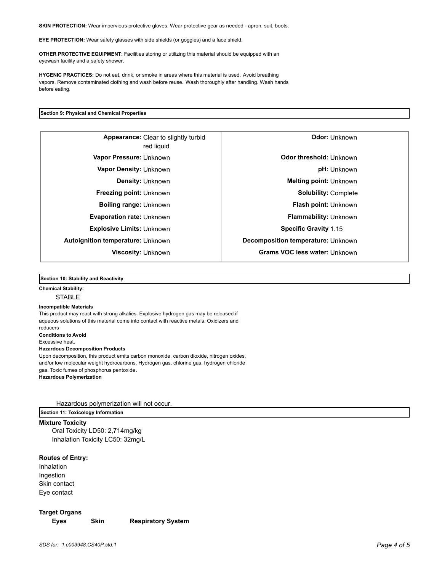**SKIN PROTECTION:** Wear impervious protective gloves. Wear protective gear as needed - apron, suit, boots.

**EYE PROTECTION:** Wear safety glasses with side shields (or goggles) and a face shield.

**OTHER PROTECTIVE EQUIPMENT**: Facilities storing or utilizing this material should be equipped with an eyewash facility and a safety shower.

**HYGENIC PRACTICES:** Do not eat, drink, or smoke in areas where this material is used. Avoid breathing vapors. Remove contaminated clothing and wash before reuse. Wash thoroughly after handling. Wash hands before eating.

# **Section 9: Physical and Chemical Properties**

Clear to slightly turbid **Appearance: Odor:** Unknown red liquid **Evaporation rate:** Unknown **Flammability:** Unknown **Explosive Limits:** Unknown **Specific Gravity** 1.15 **Autoignition temperature:** Unknown **Decomposition temperature:** Unknown

**Vapor Pressure:** Unknown **CODITY CODE 10 CODE 10 CODE 10 Odor threshold: Unknown Vapor Density:** Unknown **pH:** Unknown **Density:** Unknown **Melting point: Unknown Freezing point:** Unknown **Solubility:** Complete **Boiling range:** Unknown **Flash point: Unknown Viscosity:** Unknown **Grams VOC less water:** Unknown

# **Section 10: Stability and Reactivity**

# **Chemical Stability:**

STABLE

#### **Incompatible Materials**

This product may react with strong alkalies. Explosive hydrogen gas may be released if aqueous solutions of this material come into contact with reactive metals. Oxidizers and reducers **Conditions to Avoid** Excessive heat. **Hazardous Decomposition Products** Upon decomposition, this product emits carbon monoxide, carbon dioxide, nitrogen oxides, and/or low molecular weight hydrocarbons. Hydrogen gas, chlorine gas, hydrogen chloride

gas. Toxic fumes of phosphorus pentoxide.

**Hazardous Polymerization**

Hazardous polymerization will not occur.

# **Section 11: Toxicology Information**

**Mixture Toxicity**

Oral Toxicity LD50: 2,714mg/kg Inhalation Toxicity LC50: 32mg/L

# **Routes of Entry:**

Inhalation Ingestion Skin contact Eye contact

**Target Organs Eyes Skin Respiratory System**